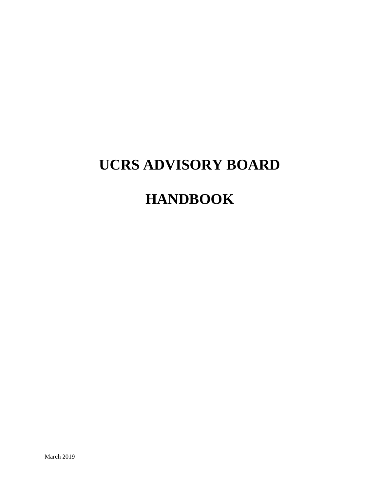# **UCRS ADVISORY BOARD**

# **HANDBOOK**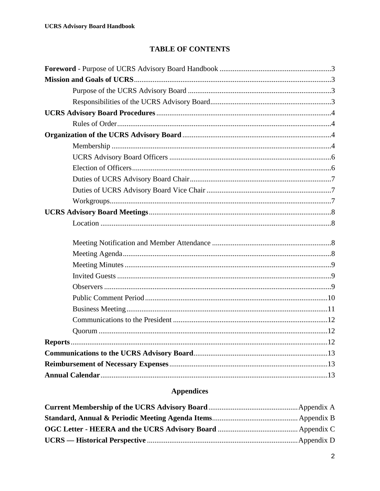# **TABLE OF CONTENTS**

# **Appendices**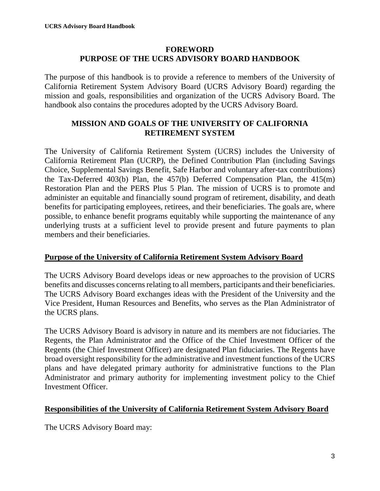#### **FOREWORD PURPOSE OF THE UCRS ADVISORY BOARD HANDBOOK**

The purpose of this handbook is to provide a reference to members of the University of California Retirement System Advisory Board (UCRS Advisory Board) regarding the mission and goals, responsibilities and organization of the UCRS Advisory Board. The handbook also contains the procedures adopted by the UCRS Advisory Board.

#### **MISSION AND GOALS OF THE UNIVERSITY OF CALIFORNIA RETIREMENT SYSTEM**

The University of California Retirement System (UCRS) includes the University of California Retirement Plan (UCRP), the Defined Contribution Plan (including Savings Choice, Supplemental Savings Benefit, Safe Harbor and voluntary after-tax contributions) the Tax-Deferred 403(b) Plan, the 457(b) Deferred Compensation Plan, the 415(m) Restoration Plan and the PERS Plus 5 Plan. The mission of UCRS is to promote and administer an equitable and financially sound program of retirement, disability, and death benefits for participating employees, retirees, and their beneficiaries. The goals are, where possible, to enhance benefit programs equitably while supporting the maintenance of any underlying trusts at a sufficient level to provide present and future payments to plan members and their beneficiaries.

#### **Purpose of the University of California Retirement System Advisory Board**

The UCRS Advisory Board develops ideas or new approaches to the provision of UCRS benefits and discusses concerns relating to all members, participants and their beneficiaries. The UCRS Advisory Board exchanges ideas with the President of the University and the Vice President, Human Resources and Benefits, who serves as the Plan Administrator of the UCRS plans.

The UCRS Advisory Board is advisory in nature and its members are not fiduciaries. The Regents, the Plan Administrator and the Office of the Chief Investment Officer of the Regents (the Chief Investment Officer) are designated Plan fiduciaries. The Regents have broad oversight responsibility for the administrative and investment functions of the UCRS plans and have delegated primary authority for administrative functions to the Plan Administrator and primary authority for implementing investment policy to the Chief Investment Officer.

#### **Responsibilities of the University of California Retirement System Advisory Board**

The UCRS Advisory Board may: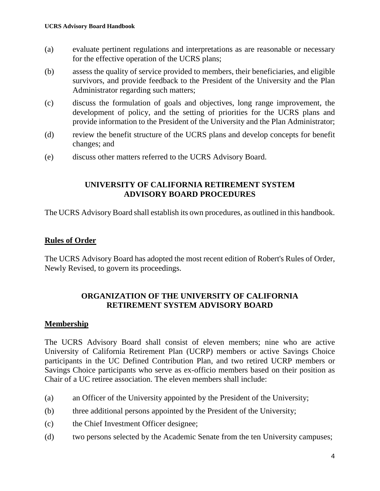- (a) evaluate pertinent regulations and interpretations as are reasonable or necessary for the effective operation of the UCRS plans;
- (b) assess the quality of service provided to members, their beneficiaries, and eligible survivors, and provide feedback to the President of the University and the Plan Administrator regarding such matters;
- (c) discuss the formulation of goals and objectives, long range improvement, the development of policy, and the setting of priorities for the UCRS plans and provide information to the President of the University and the Plan Administrator;
- (d) review the benefit structure of the UCRS plans and develop concepts for benefit changes; and
- (e) discuss other matters referred to the UCRS Advisory Board.

#### **UNIVERSITY OF CALIFORNIA RETIREMENT SYSTEM ADVISORY BOARD PROCEDURES**

The UCRS Advisory Board shall establish its own procedures, as outlined in this handbook.

#### **Rules of Order**

The UCRS Advisory Board has adopted the most recent edition of Robert's Rules of Order, Newly Revised, to govern its proceedings.

#### **ORGANIZATION OF THE UNIVERSITY OF CALIFORNIA RETIREMENT SYSTEM ADVISORY BOARD**

#### **Membership**

The UCRS Advisory Board shall consist of eleven members; nine who are active University of California Retirement Plan (UCRP) members or active Savings Choice participants in the UC Defined Contribution Plan, and two retired UCRP members or Savings Choice participants who serve as ex-officio members based on their position as Chair of a UC retiree association. The eleven members shall include:

- (a) an Officer of the University appointed by the President of the University;
- (b) three additional persons appointed by the President of the University;
- (c) the Chief Investment Officer designee;
- (d) two persons selected by the Academic Senate from the ten University campuses;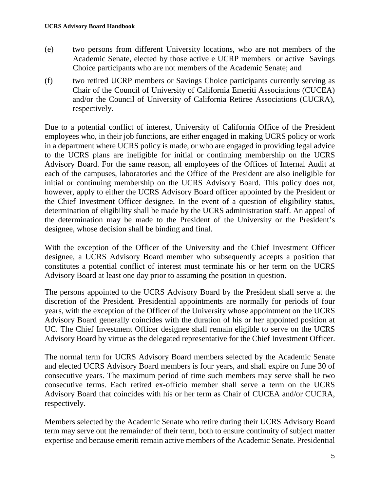- (e) two persons from different University locations, who are not members of the Academic Senate, elected by those active e UCRP members or active Savings Choice participants who are not members of the Academic Senate; and
- (f) two retired UCRP members or Savings Choice participants currently serving as Chair of the Council of University of California Emeriti Associations (CUCEA) and/or the Council of University of California Retiree Associations (CUCRA), respectively.

Due to a potential conflict of interest, University of California Office of the President employees who, in their job functions, are either engaged in making UCRS policy or work in a department where UCRS policy is made, or who are engaged in providing legal advice to the UCRS plans are ineligible for initial or continuing membership on the UCRS Advisory Board. For the same reason, all employees of the Offices of Internal Audit at each of the campuses, laboratories and the Office of the President are also ineligible for initial or continuing membership on the UCRS Advisory Board. This policy does not, however, apply to either the UCRS Advisory Board officer appointed by the President or the Chief Investment Officer designee. In the event of a question of eligibility status, determination of eligibility shall be made by the UCRS administration staff. An appeal of the determination may be made to the President of the University or the President's designee, whose decision shall be binding and final.

With the exception of the Officer of the University and the Chief Investment Officer designee, a UCRS Advisory Board member who subsequently accepts a position that constitutes a potential conflict of interest must terminate his or her term on the UCRS Advisory Board at least one day prior to assuming the position in question.

The persons appointed to the UCRS Advisory Board by the President shall serve at the discretion of the President. Presidential appointments are normally for periods of four years, with the exception of the Officer of the University whose appointment on the UCRS Advisory Board generally coincides with the duration of his or her appointed position at UC. The Chief Investment Officer designee shall remain eligible to serve on the UCRS Advisory Board by virtue as the delegated representative for the Chief Investment Officer.

The normal term for UCRS Advisory Board members selected by the Academic Senate and elected UCRS Advisory Board members is four years, and shall expire on June 30 of consecutive years. The maximum period of time such members may serve shall be two consecutive terms. Each retired ex-officio member shall serve a term on the UCRS Advisory Board that coincides with his or her term as Chair of CUCEA and/or CUCRA, respectively.

Members selected by the Academic Senate who retire during their UCRS Advisory Board term may serve out the remainder of their term, both to ensure continuity of subject matter expertise and because emeriti remain active members of the Academic Senate. Presidential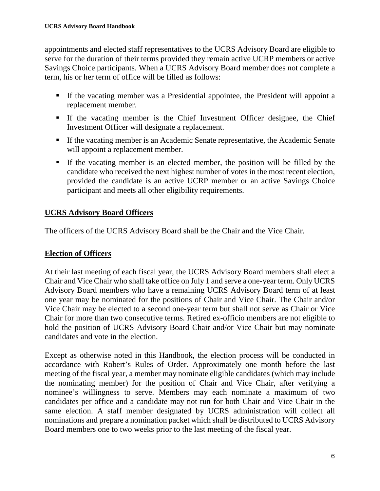appointments and elected staff representatives to the UCRS Advisory Board are eligible to serve for the duration of their terms provided they remain active UCRP members or active Savings Choice participants. When a UCRS Advisory Board member does not complete a term, his or her term of office will be filled as follows:

- If the vacating member was a Presidential appointee, the President will appoint a replacement member.
- If the vacating member is the Chief Investment Officer designee, the Chief Investment Officer will designate a replacement.
- If the vacating member is an Academic Senate representative, the Academic Senate will appoint a replacement member.
- If the vacating member is an elected member, the position will be filled by the candidate who received the next highest number of votes in the most recent election, provided the candidate is an active UCRP member or an active Savings Choice participant and meets all other eligibility requirements.

# **UCRS Advisory Board Officers**

The officers of the UCRS Advisory Board shall be the Chair and the Vice Chair.

## **Election of Officers**

At their last meeting of each fiscal year, the UCRS Advisory Board members shall elect a Chair and Vice Chair who shall take office on July 1 and serve a one-year term. Only UCRS Advisory Board members who have a remaining UCRS Advisory Board term of at least one year may be nominated for the positions of Chair and Vice Chair. The Chair and/or Vice Chair may be elected to a second one-year term but shall not serve as Chair or Vice Chair for more than two consecutive terms. Retired ex-officio members are not eligible to hold the position of UCRS Advisory Board Chair and/or Vice Chair but may nominate candidates and vote in the election.

Except as otherwise noted in this Handbook, the election process will be conducted in accordance with Robert's Rules of Order. Approximately one month before the last meeting of the fiscal year, a member may nominate eligible candidates (which may include the nominating member) for the position of Chair and Vice Chair, after verifying a nominee's willingness to serve. Members may each nominate a maximum of two candidates per office and a candidate may not run for both Chair and Vice Chair in the same election. A staff member designated by UCRS administration will collect all nominations and prepare a nomination packet which shall be distributed to UCRS Advisory Board members one to two weeks prior to the last meeting of the fiscal year.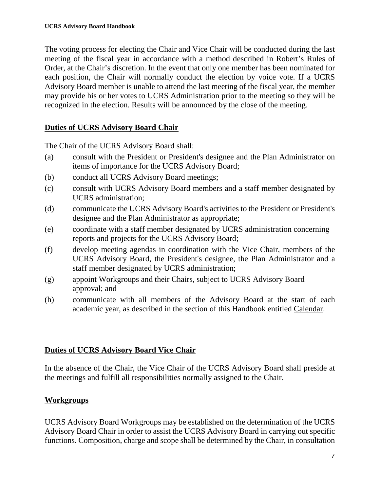The voting process for electing the Chair and Vice Chair will be conducted during the last meeting of the fiscal year in accordance with a method described in Robert's Rules of Order, at the Chair's discretion. In the event that only one member has been nominated for each position, the Chair will normally conduct the election by voice vote. If a UCRS Advisory Board member is unable to attend the last meeting of the fiscal year, the member may provide his or her votes to UCRS Administration prior to the meeting so they will be recognized in the election. Results will be announced by the close of the meeting.

#### **Duties of UCRS Advisory Board Chair**

The Chair of the UCRS Advisory Board shall:

- (a) consult with the President or President's designee and the Plan Administrator on items of importance for the UCRS Advisory Board;
- (b) conduct all UCRS Advisory Board meetings;
- (c) consult with UCRS Advisory Board members and a staff member designated by UCRS administration;
- (d) communicate the UCRS Advisory Board's activities to the President or President's designee and the Plan Administrator as appropriate;
- (e) coordinate with a staff member designated by UCRS administration concerning reports and projects for the UCRS Advisory Board;
- (f) develop meeting agendas in coordination with the Vice Chair, members of the UCRS Advisory Board, the President's designee, the Plan Administrator and a staff member designated by UCRS administration;
- (g) appoint Workgroups and their Chairs, subject to UCRS Advisory Board approval; and
- (h) communicate with all members of the Advisory Board at the start of each academic year, as described in the section of this Handbook entitled Calendar.

## **Duties of UCRS Advisory Board Vice Chair**

In the absence of the Chair, the Vice Chair of the UCRS Advisory Board shall preside at the meetings and fulfill all responsibilities normally assigned to the Chair.

# **Workgroups**

UCRS Advisory Board Workgroups may be established on the determination of the UCRS Advisory Board Chair in order to assist the UCRS Advisory Board in carrying out specific functions. Composition, charge and scope shall be determined by the Chair, in consultation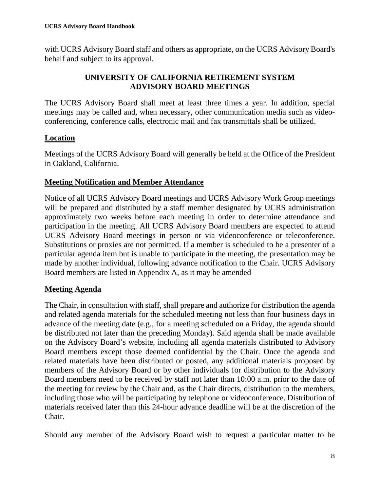with UCRS Advisory Board staff and others as appropriate, on the UCRS Advisory Board's behalf and subject to its approval.

# **UNIVERSITY OF CALIFORNIA RETIREMENT SYSTEM ADVISORY BOARD MEETINGS**

The UCRS Advisory Board shall meet at least three times a year. In addition, special meetings may be called and, when necessary, other communication media such as videoconferencing, conference calls, electronic mail and fax transmittals shall be utilized.

## **Location**

Meetings of the UCRS Advisory Board will generally be held at the Office of the President in Oakland, California.

## **Meeting Notification and Member Attendance**

Notice of all UCRS Advisory Board meetings and UCRS Advisory Work Group meetings will be prepared and distributed by a staff member designated by UCRS administration approximately two weeks before each meeting in order to determine attendance and participation in the meeting. All UCRS Advisory Board members are expected to attend UCRS Advisory Board meetings in person or via videoconference or teleconference. Substitutions or proxies are not permitted. If a member is scheduled to be a presenter of a particular agenda item but is unable to participate in the meeting, the presentation may be made by another individual, following advance notification to the Chair. UCRS Advisory Board members are listed in Appendix A, as it may be amended

## **Meeting Agenda**

The Chair, in consultation with staff, shall prepare and authorize for distribution the agenda and related agenda materials for the scheduled meeting not less than four business days in advance of the meeting date (e.g., for a meeting scheduled on a Friday, the agenda should be distributed not later than the preceding Monday). Said agenda shall be made available on the Advisory Board's website, including all agenda materials distributed to Advisory Board members except those deemed confidential by the Chair. Once the agenda and related materials have been distributed or posted, any additional materials proposed by members of the Advisory Board or by other individuals for distribution to the Advisory Board members need to be received by staff not later than 10:00 a.m. prior to the date of the meeting for review by the Chair and, as the Chair directs, distribution to the members, including those who will be participating by telephone or videoconference. Distribution of materials received later than this 24-hour advance deadline will be at the discretion of the Chair.

Should any member of the Advisory Board wish to request a particular matter to be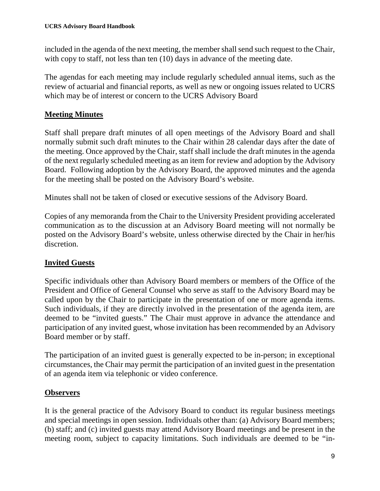included in the agenda of the next meeting, the member shall send such request to the Chair, with copy to staff, not less than ten (10) days in advance of the meeting date.

The agendas for each meeting may include regularly scheduled annual items, such as the review of actuarial and financial reports, as well as new or ongoing issues related to UCRS which may be of interest or concern to the UCRS Advisory Board

## **Meeting Minutes**

Staff shall prepare draft minutes of all open meetings of the Advisory Board and shall normally submit such draft minutes to the Chair within 28 calendar days after the date of the meeting. Once approved by the Chair, staff shall include the draft minutes in the agenda of the next regularly scheduled meeting as an item for review and adoption by the Advisory Board. Following adoption by the Advisory Board, the approved minutes and the agenda for the meeting shall be posted on the Advisory Board's website.

Minutes shall not be taken of closed or executive sessions of the Advisory Board.

Copies of any memoranda from the Chair to the University President providing accelerated communication as to the discussion at an Advisory Board meeting will not normally be posted on the Advisory Board's website, unless otherwise directed by the Chair in her/his discretion.

## **Invited Guests**

Specific individuals other than Advisory Board members or members of the Office of the President and Office of General Counsel who serve as staff to the Advisory Board may be called upon by the Chair to participate in the presentation of one or more agenda items. Such individuals, if they are directly involved in the presentation of the agenda item, are deemed to be "invited guests." The Chair must approve in advance the attendance and participation of any invited guest, whose invitation has been recommended by an Advisory Board member or by staff.

The participation of an invited guest is generally expected to be in-person; in exceptional circumstances, the Chair may permit the participation of an invited guest in the presentation of an agenda item via telephonic or video conference.

## **Observers**

It is the general practice of the Advisory Board to conduct its regular business meetings and special meetings in open session. Individuals other than: (a) Advisory Board members; (b) staff; and (c) invited guests may attend Advisory Board meetings and be present in the meeting room, subject to capacity limitations. Such individuals are deemed to be "in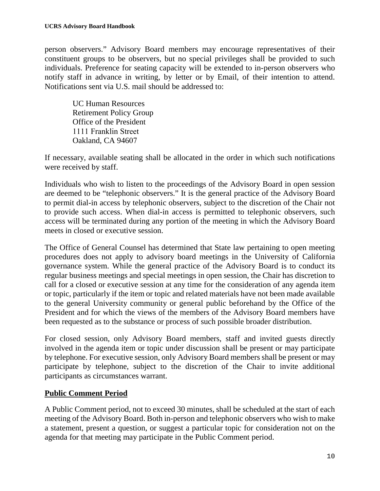person observers." Advisory Board members may encourage representatives of their constituent groups to be observers, but no special privileges shall be provided to such individuals. Preference for seating capacity will be extended to in-person observers who notify staff in advance in writing, by letter or by Email, of their intention to attend. Notifications sent via U.S. mail should be addressed to:

UC Human Resources Retirement Policy Group Office of the President 1111 Franklin Street Oakland, CA 94607

If necessary, available seating shall be allocated in the order in which such notifications were received by staff.

Individuals who wish to listen to the proceedings of the Advisory Board in open session are deemed to be "telephonic observers." It is the general practice of the Advisory Board to permit dial-in access by telephonic observers, subject to the discretion of the Chair not to provide such access. When dial-in access is permitted to telephonic observers, such access will be terminated during any portion of the meeting in which the Advisory Board meets in closed or executive session.

The Office of General Counsel has determined that State law pertaining to open meeting procedures does not apply to advisory board meetings in the University of California governance system. While the general practice of the Advisory Board is to conduct its regular business meetings and special meetings in open session, the Chair has discretion to call for a closed or executive session at any time for the consideration of any agenda item or topic, particularly if the item or topic and related materials have not been made available to the general University community or general public beforehand by the Office of the President and for which the views of the members of the Advisory Board members have been requested as to the substance or process of such possible broader distribution.

For closed session, only Advisory Board members, staff and invited guests directly involved in the agenda item or topic under discussion shall be present or may participate by telephone. For executive session, only Advisory Board members shall be present or may participate by telephone, subject to the discretion of the Chair to invite additional participants as circumstances warrant.

## **Public Comment Period**

A Public Comment period, not to exceed 30 minutes, shall be scheduled at the start of each meeting of the Advisory Board. Both in-person and telephonic observers who wish to make a statement, present a question, or suggest a particular topic for consideration not on the agenda for that meeting may participate in the Public Comment period.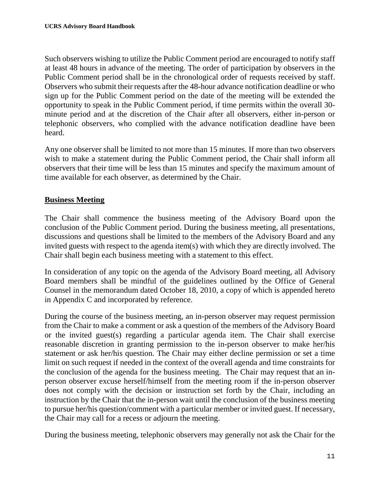Such observers wishing to utilize the Public Comment period are encouraged to notify staff at least 48 hours in advance of the meeting. The order of participation by observers in the Public Comment period shall be in the chronological order of requests received by staff. Observers who submit their requests after the 48-hour advance notification deadline or who sign up for the Public Comment period on the date of the meeting will be extended the opportunity to speak in the Public Comment period, if time permits within the overall 30 minute period and at the discretion of the Chair after all observers, either in-person or telephonic observers, who complied with the advance notification deadline have been heard.

Any one observer shall be limited to not more than 15 minutes. If more than two observers wish to make a statement during the Public Comment period, the Chair shall inform all observers that their time will be less than 15 minutes and specify the maximum amount of time available for each observer, as determined by the Chair.

#### **Business Meeting**

The Chair shall commence the business meeting of the Advisory Board upon the conclusion of the Public Comment period. During the business meeting, all presentations, discussions and questions shall be limited to the members of the Advisory Board and any invited guests with respect to the agenda item(s) with which they are directly involved. The Chair shall begin each business meeting with a statement to this effect.

In consideration of any topic on the agenda of the Advisory Board meeting, all Advisory Board members shall be mindful of the guidelines outlined by the Office of General Counsel in the memorandum dated October 18, 2010, a copy of which is appended hereto in Appendix C and incorporated by reference.

During the course of the business meeting, an in-person observer may request permission from the Chair to make a comment or ask a question of the members of the Advisory Board or the invited guest(s) regarding a particular agenda item. The Chair shall exercise reasonable discretion in granting permission to the in-person observer to make her/his statement or ask her/his question. The Chair may either decline permission or set a time limit on such request if needed in the context of the overall agenda and time constraints for the conclusion of the agenda for the business meeting. The Chair may request that an inperson observer excuse herself/himself from the meeting room if the in-person observer does not comply with the decision or instruction set forth by the Chair, including an instruction by the Chair that the in-person wait until the conclusion of the business meeting to pursue her/his question/comment with a particular member or invited guest. If necessary, the Chair may call for a recess or adjourn the meeting.

During the business meeting, telephonic observers may generally not ask the Chair for the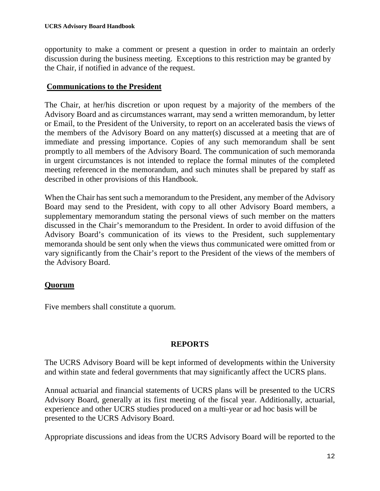opportunity to make a comment or present a question in order to maintain an orderly discussion during the business meeting. Exceptions to this restriction may be granted by the Chair, if notified in advance of the request.

#### **Communications to the President**

The Chair, at her/his discretion or upon request by a majority of the members of the Advisory Board and as circumstances warrant, may send a written memorandum, by letter or Email, to the President of the University, to report on an accelerated basis the views of the members of the Advisory Board on any matter(s) discussed at a meeting that are of immediate and pressing importance. Copies of any such memorandum shall be sent promptly to all members of the Advisory Board. The communication of such memoranda in urgent circumstances is not intended to replace the formal minutes of the completed meeting referenced in the memorandum, and such minutes shall be prepared by staff as described in other provisions of this Handbook.

When the Chair has sent such a memorandum to the President, any member of the Advisory Board may send to the President, with copy to all other Advisory Board members, a supplementary memorandum stating the personal views of such member on the matters discussed in the Chair's memorandum to the President. In order to avoid diffusion of the Advisory Board's communication of its views to the President, such supplementary memoranda should be sent only when the views thus communicated were omitted from or vary significantly from the Chair's report to the President of the views of the members of the Advisory Board.

## **Quorum**

Five members shall constitute a quorum.

## **REPORTS**

The UCRS Advisory Board will be kept informed of developments within the University and within state and federal governments that may significantly affect the UCRS plans.

Annual actuarial and financial statements of UCRS plans will be presented to the UCRS Advisory Board, generally at its first meeting of the fiscal year. Additionally, actuarial, experience and other UCRS studies produced on a multi-year or ad hoc basis will be presented to the UCRS Advisory Board.

Appropriate discussions and ideas from the UCRS Advisory Board will be reported to the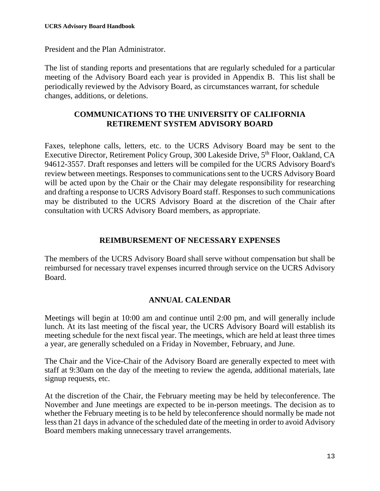President and the Plan Administrator.

The list of standing reports and presentations that are regularly scheduled for a particular meeting of the Advisory Board each year is provided in Appendix B. This list shall be periodically reviewed by the Advisory Board, as circumstances warrant, for schedule changes, additions, or deletions.

#### **COMMUNICATIONS TO THE UNIVERSITY OF CALIFORNIA RETIREMENT SYSTEM ADVISORY BOARD**

Faxes, telephone calls, letters, etc. to the UCRS Advisory Board may be sent to the Executive Director, Retirement Policy Group, 300 Lakeside Drive, 5<sup>th</sup> Floor, Oakland, CA 94612-3557. Draft responses and letters will be compiled for the UCRS Advisory Board's review between meetings. Responses to communications sent to the UCRS Advisory Board will be acted upon by the Chair or the Chair may delegate responsibility for researching and drafting a response to UCRS Advisory Board staff. Responses to such communications may be distributed to the UCRS Advisory Board at the discretion of the Chair after consultation with UCRS Advisory Board members, as appropriate.

#### **REIMBURSEMENT OF NECESSARY EXPENSES**

The members of the UCRS Advisory Board shall serve without compensation but shall be reimbursed for necessary travel expenses incurred through service on the UCRS Advisory Board.

## **ANNUAL CALENDAR**

Meetings will begin at 10:00 am and continue until 2:00 pm, and will generally include lunch. At its last meeting of the fiscal year, the UCRS Advisory Board will establish its meeting schedule for the next fiscal year. The meetings, which are held at least three times a year, are generally scheduled on a Friday in November, February, and June.

The Chair and the Vice-Chair of the Advisory Board are generally expected to meet with staff at 9:30am on the day of the meeting to review the agenda, additional materials, late signup requests, etc.

At the discretion of the Chair, the February meeting may be held by teleconference. The November and June meetings are expected to be in-person meetings. The decision as to whether the February meeting is to be held by teleconference should normally be made not less than 21 days in advance of the scheduled date of the meeting in order to avoid Advisory Board members making unnecessary travel arrangements.